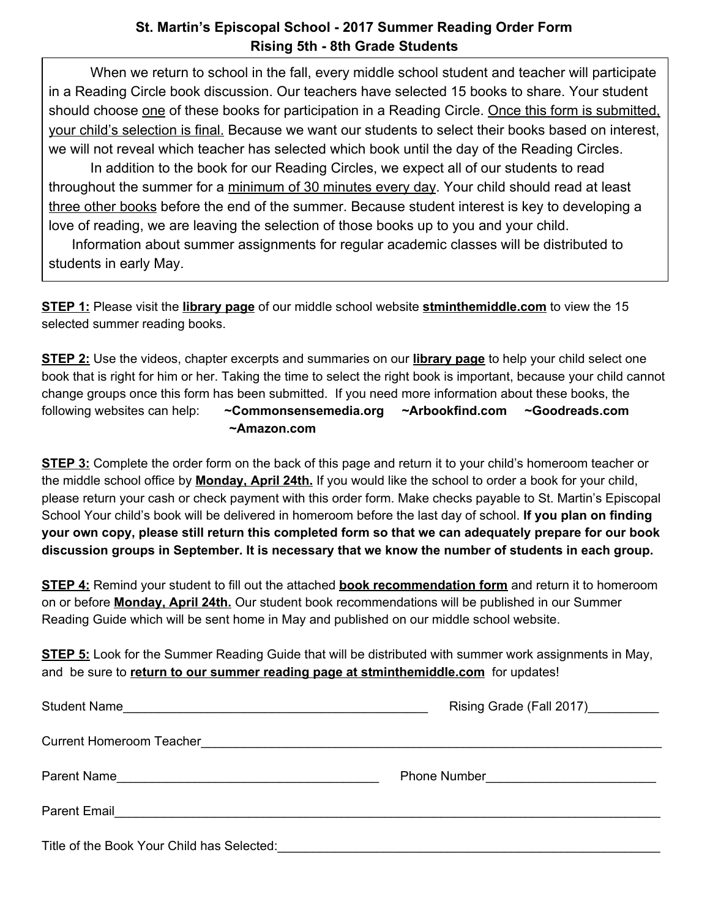## **St. Martin's Episcopal School - 2017 Summer Reading Order Form Rising 5th - 8th Grade Students**

When we return to school in the fall, every middle school student and teacher will participate in a Reading Circle book discussion. Our teachers have selected 15 books to share. Your student should choose one of these books for participation in a Reading Circle. Once this form is submitted, your child's selection is final. Because we want our students to select their books based on interest, we will not reveal which teacher has selected which book until the day of the Reading Circles. In addition to the book for our Reading Circles, we expect all of our students to read throughout the summer for a minimum of 30 minutes every day. Your child should read at least

three other books before the end of the summer. Because student interest is key to developing a love of reading, we are leaving the selection of those books up to you and your child.

 Information about summer assignments for regular academic classes will be distributed to students in early May.

**STEP 1:** Please visit the **library page** of our middle school website **stminthemiddle.com** to view the 15 selected summer reading books.

**STEP 2:** Use the videos, chapter excerpts and summaries on our **library page** to help your child select one book that is right for him or her. Taking the time to select the right book is important, because your child cannot change groups once this form has been submitted. If you need more information about these books, the following websites can help: **~C[ommonsensemedia.org](https://www.commonsensemedia.org/) ~A[rbookfind.com](http://www.arbookfind.com/) ~Goodreads.com ~Amazon.com**

**STEP 3:** Complete the order form on the back of this page and return it to your child's homeroom teacher or the middle school office by **Monday, April 24th.** If you would like the school to order a book for your child, please return your cash or check payment with this order form. Make checks payable to St. Martin's Episcopal School Your child's book will be delivered in homeroom before the last day of school. **If you plan on finding** your own copy, please still return this completed form so that we can adequately prepare for our book **discussion groups in September. It is necessary that we know the number of students in each group.**

**STEP 4:** Remind your student to fill out the attached **book recommendation form** and return it to homeroom on or before **Monday, April 24th.** Our student book recommendations will be published in our Summer Reading Guide which will be sent home in May and published on our middle school website.

**STEP 5:** Look for the Summer Reading Guide that will be distributed with summer work assignments in May, and be sure to **return to our summer reading page at stminthemiddle.com** for updates!

| Student Name                                                                                        | Rising Grade (Fall 2017) __________ |
|-----------------------------------------------------------------------------------------------------|-------------------------------------|
|                                                                                                     |                                     |
| Parent Name                                                                                         |                                     |
| <b>Parent Email</b><br><u> 1980 - Jan Barbara, martin da kasar Amerikaan dan Barbara (j. 1980).</u> |                                     |
| Title of the Book Your Child has Selected:                                                          |                                     |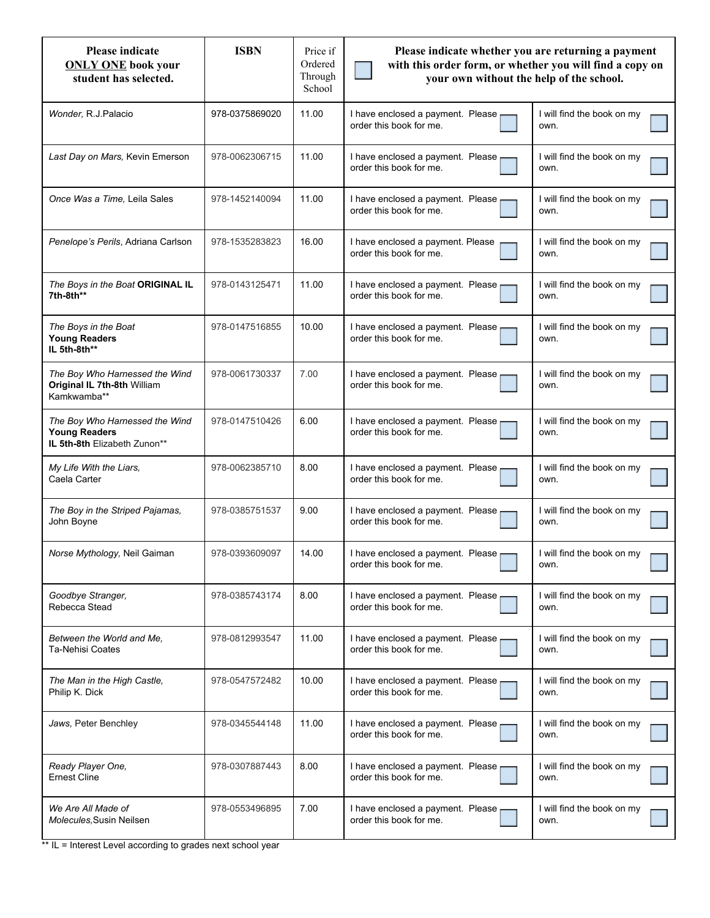| <b>Please indicate</b><br><b>ONLY ONE</b> book your<br>student has selected.           | <b>ISBN</b>    | Price if<br>Ordered<br>Through<br>School | Please indicate whether you are returning a payment<br>with this order form, or whether you will find a copy on<br>your own without the help of the school. |                                    |
|----------------------------------------------------------------------------------------|----------------|------------------------------------------|-------------------------------------------------------------------------------------------------------------------------------------------------------------|------------------------------------|
| Wonder, R.J.Palacio                                                                    | 978-0375869020 | 11.00                                    | I have enclosed a payment. Please<br>order this book for me.                                                                                                | I will find the book on my<br>own. |
| Last Day on Mars, Kevin Emerson                                                        | 978-0062306715 | 11.00                                    | I have enclosed a payment. Please<br>order this book for me.                                                                                                | I will find the book on my<br>own. |
| Once Was a Time. Leila Sales                                                           | 978-1452140094 | 11.00                                    | I have enclosed a payment. Please<br>order this book for me.                                                                                                | I will find the book on my<br>own. |
| Penelope's Perils, Adriana Carlson                                                     | 978-1535283823 | 16.00                                    | I have enclosed a payment. Please<br>order this book for me.                                                                                                | I will find the book on my<br>own. |
| The Boys in the Boat ORIGINAL IL<br>7th-8th**                                          | 978-0143125471 | 11.00                                    | I have enclosed a payment. Please<br>order this book for me.                                                                                                | I will find the book on my<br>own. |
| The Boys in the Boat<br><b>Young Readers</b><br>IL 5th-8th**                           | 978-0147516855 | 10.00                                    | I have enclosed a payment. Please<br>order this book for me.                                                                                                | I will find the book on my<br>own. |
| The Boy Who Harnessed the Wind<br>Original IL 7th-8th William<br>Kamkwamba**           | 978-0061730337 | 7.00                                     | I have enclosed a payment. Please<br>order this book for me.                                                                                                | I will find the book on my<br>own. |
| The Boy Who Harnessed the Wind<br><b>Young Readers</b><br>IL 5th-8th Elizabeth Zunon** | 978-0147510426 | 6.00                                     | I have enclosed a payment. Please<br>order this book for me.                                                                                                | I will find the book on my<br>own. |
| My Life With the Liars,<br>Caela Carter                                                | 978-0062385710 | 8.00                                     | I have enclosed a payment. Please<br>order this book for me.                                                                                                | I will find the book on my<br>own. |
| The Boy in the Striped Pajamas,<br>John Boyne                                          | 978-0385751537 | 9.00                                     | I have enclosed a payment. Please<br>order this book for me.                                                                                                | I will find the book on my<br>own. |
| Norse Mythology, Neil Gaiman                                                           | 978-0393609097 | 14.00                                    | I have enclosed a payment. Please<br>order this book for me.                                                                                                | I will find the book on my<br>own. |
| Goodbye Stranger,<br>Rebecca Stead                                                     | 978-0385743174 | 8.00                                     | I have enclosed a payment. Please<br>order this book for me.                                                                                                | I will find the book on my<br>own. |
| Between the World and Me,<br><b>Ta-Nehisi Coates</b>                                   | 978-0812993547 | 11.00                                    | I have enclosed a payment. Please<br>order this book for me.                                                                                                | I will find the book on my<br>own. |
| The Man in the High Castle,<br>Philip K. Dick                                          | 978-0547572482 | 10.00                                    | I have enclosed a payment. Please<br>order this book for me.                                                                                                | I will find the book on my<br>own. |
| Jaws, Peter Benchley                                                                   | 978-0345544148 | 11.00                                    | I have enclosed a payment. Please<br>order this book for me.                                                                                                | I will find the book on my<br>own. |
| Ready Player One,<br><b>Ernest Cline</b>                                               | 978-0307887443 | 8.00                                     | I have enclosed a payment. Please<br>order this book for me.                                                                                                | I will find the book on my<br>own. |
| We Are All Made of<br>Molecules, Susin Neilsen                                         | 978-0553496895 | 7.00                                     | I have enclosed a payment. Please<br>order this book for me.                                                                                                | I will find the book on my<br>own. |

\*\* IL = Interest Level according to grades next school year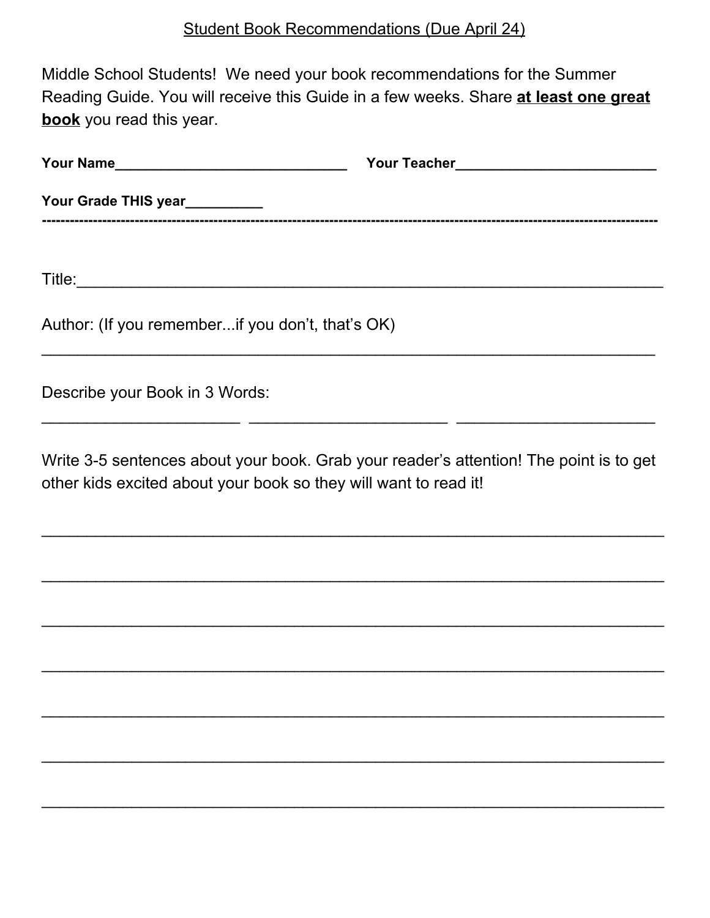Middle School Students! We need your book recommendations for the Summer Reading Guide. You will receive this Guide in a few weeks. Share **at least one great book** you read this year.

| Author: (If you rememberif you don't, that's OK) |  |
|--------------------------------------------------|--|
| Describe your Book in 3 Words:                   |  |

Write 3-5 sentences about your book. Grab your reader's attention! The point is to get other kids excited about your book so they will want to read it!

 $\_$  ,  $\_$  ,  $\_$  ,  $\_$  ,  $\_$  ,  $\_$  ,  $\_$  ,  $\_$  ,  $\_$  ,  $\_$  ,  $\_$  ,  $\_$  ,  $\_$  ,  $\_$  ,  $\_$  ,  $\_$  ,  $\_$  ,  $\_$  ,  $\_$  ,  $\_$  ,  $\_$  ,  $\_$  ,  $\_$  ,  $\_$  ,  $\_$  ,  $\_$  ,  $\_$  ,  $\_$  ,  $\_$  ,  $\_$  ,  $\_$  ,  $\_$  ,  $\_$  ,  $\_$  ,  $\_$  ,  $\_$  ,  $\_$  ,

 $\_$  ,  $\_$  ,  $\_$  ,  $\_$  ,  $\_$  ,  $\_$  ,  $\_$  ,  $\_$  ,  $\_$  ,  $\_$  ,  $\_$  ,  $\_$  ,  $\_$  ,  $\_$  ,  $\_$  ,  $\_$  ,  $\_$  ,  $\_$  ,  $\_$  ,  $\_$  ,  $\_$  ,  $\_$  ,  $\_$  ,  $\_$  ,  $\_$  ,  $\_$  ,  $\_$  ,  $\_$  ,  $\_$  ,  $\_$  ,  $\_$  ,  $\_$  ,  $\_$  ,  $\_$  ,  $\_$  ,  $\_$  ,  $\_$  ,

 $\_$  ,  $\_$  ,  $\_$  ,  $\_$  ,  $\_$  ,  $\_$  ,  $\_$  ,  $\_$  ,  $\_$  ,  $\_$  ,  $\_$  ,  $\_$  ,  $\_$  ,  $\_$  ,  $\_$  ,  $\_$  ,  $\_$  ,  $\_$  ,  $\_$  ,  $\_$  ,  $\_$  ,  $\_$  ,  $\_$  ,  $\_$  ,  $\_$  ,  $\_$  ,  $\_$  ,  $\_$  ,  $\_$  ,  $\_$  ,  $\_$  ,  $\_$  ,  $\_$  ,  $\_$  ,  $\_$  ,  $\_$  ,  $\_$  ,

 $\_$  ,  $\_$  ,  $\_$  ,  $\_$  ,  $\_$  ,  $\_$  ,  $\_$  ,  $\_$  ,  $\_$  ,  $\_$  ,  $\_$  ,  $\_$  ,  $\_$  ,  $\_$  ,  $\_$  ,  $\_$  ,  $\_$  ,  $\_$  ,  $\_$  ,  $\_$  ,  $\_$  ,  $\_$  ,  $\_$  ,  $\_$  ,  $\_$  ,  $\_$  ,  $\_$  ,  $\_$  ,  $\_$  ,  $\_$  ,  $\_$  ,  $\_$  ,  $\_$  ,  $\_$  ,  $\_$  ,  $\_$  ,  $\_$  ,

 $\_$  ,  $\_$  ,  $\_$  ,  $\_$  ,  $\_$  ,  $\_$  ,  $\_$  ,  $\_$  ,  $\_$  ,  $\_$  ,  $\_$  ,  $\_$  ,  $\_$  ,  $\_$  ,  $\_$  ,  $\_$  ,  $\_$  ,  $\_$  ,  $\_$  ,  $\_$  ,  $\_$  ,  $\_$  ,  $\_$  ,  $\_$  ,  $\_$  ,  $\_$  ,  $\_$  ,  $\_$  ,  $\_$  ,  $\_$  ,  $\_$  ,  $\_$  ,  $\_$  ,  $\_$  ,  $\_$  ,  $\_$  ,  $\_$  ,

 $\_$  ,  $\_$  ,  $\_$  ,  $\_$  ,  $\_$  ,  $\_$  ,  $\_$  ,  $\_$  ,  $\_$  ,  $\_$  ,  $\_$  ,  $\_$  ,  $\_$  ,  $\_$  ,  $\_$  ,  $\_$  ,  $\_$  ,  $\_$  ,  $\_$  ,  $\_$  ,  $\_$  ,  $\_$  ,  $\_$  ,  $\_$  ,  $\_$  ,  $\_$  ,  $\_$  ,  $\_$  ,  $\_$  ,  $\_$  ,  $\_$  ,  $\_$  ,  $\_$  ,  $\_$  ,  $\_$  ,  $\_$  ,  $\_$  ,

 $\_$